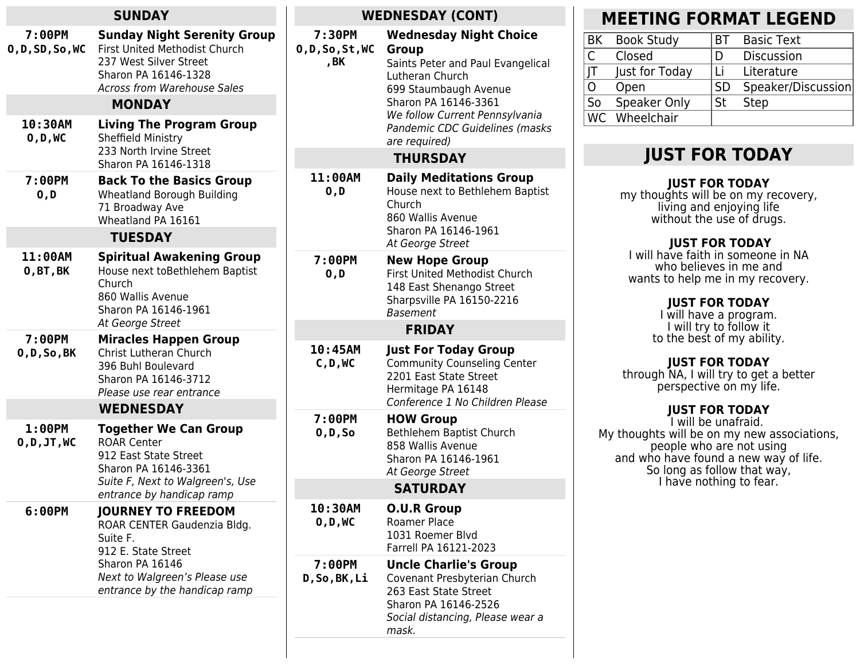| <b>SUNDAY</b>                         |                                                                                                                                                                                                                        | <b>WEDNESDAY (CONT)</b>            |                                                                                                                                                                                                                     |
|---------------------------------------|------------------------------------------------------------------------------------------------------------------------------------------------------------------------------------------------------------------------|------------------------------------|---------------------------------------------------------------------------------------------------------------------------------------------------------------------------------------------------------------------|
| 7:00PM<br>0, D, SD, So, WC<br>10:30AM | <b>Sunday Night Serenity Group</b><br><b>First United Methodist Church</b><br>237 West Silver Street<br>Sharon PA 16146-1328<br><b>Across from Warehouse Sales</b><br><b>MONDAY</b><br><b>Living The Program Group</b> | 7:30PM<br>0, D, So, St, WC<br>, BK | <b>Wednesday Night Choice</b><br>Group<br>Saints Peter and Paul Evangelical<br>Lutheran Church<br>699 Staumbaugh Avenue<br>Sharon PA 16146-3361<br>We follow Current Pennsylvania<br>Pandemic CDC Guidelines (masks |
| 0, D, WC                              | Sheffield Ministry<br>233 North Irvine Street                                                                                                                                                                          |                                    | are required)                                                                                                                                                                                                       |
|                                       | Sharon PA 16146-1318                                                                                                                                                                                                   |                                    | <b>THURSDAY</b>                                                                                                                                                                                                     |
| 7:00PM<br>0, D                        | <b>Back To the Basics Group</b><br>Wheatland Borough Building<br>71 Broadway Ave<br>Wheatland PA 16161                                                                                                                 | 11:00AM<br>0, D                    | <b>Daily Meditations Group</b><br>House next to Bethlehem Baptist<br>Church<br>860 Wallis Avenue<br>Sharon PA 16146-1961                                                                                            |
|                                       | <b>TUESDAY</b>                                                                                                                                                                                                         |                                    | At George Street                                                                                                                                                                                                    |
| 11:00AM<br>0, BT, BK                  | <b>Spiritual Awakening Group</b><br>House next toBethlehem Baptist<br>Church<br>860 Wallis Avenue<br>Sharon PA 16146-1961                                                                                              | 7:00PM<br>0, D                     | <b>New Hope Group</b><br>First United Methodist Church<br>148 East Shenango Street<br>Sharpsville PA 16150-2216<br><b>Basement</b>                                                                                  |
|                                       | At George Street                                                                                                                                                                                                       |                                    | <b>FRIDAY</b>                                                                                                                                                                                                       |
| 7:00PM<br>O, D, So, BK                | <b>Miracles Happen Group</b><br>Christ Lutheran Church<br>396 Buhl Boulevard<br>Sharon PA 16146-3712<br>Please use rear entrance                                                                                       | 10:45AM<br>C, D, WC                | <b>Just For Today Group</b><br><b>Community Counseling Center</b><br>2201 East State Street<br>Hermitage PA 16148<br>Conference 1 No Children Please                                                                |
|                                       | <b>WEDNESDAY</b>                                                                                                                                                                                                       | 7:00PM                             | <b>HOW Group</b>                                                                                                                                                                                                    |
| 1:00PM<br>0, D, JT, WC                | <b>Together We Can Group</b><br><b>ROAR Center</b><br>912 East State Street<br>Sharon PA 16146-3361<br>Suite F, Next to Walgreen's, Use<br>entrance by handicap ramp                                                   | $0, D,$ So                         | Bethlehem Baptist Church<br>858 Wallis Avenue<br>Sharon PA 16146-1961<br>At George Street                                                                                                                           |
|                                       |                                                                                                                                                                                                                        |                                    | <b>SATURDAY</b>                                                                                                                                                                                                     |
| 6:00PM                                | <b>JOURNEY TO FREEDOM</b><br>ROAR CENTER Gaudenzia Bldg.<br>Suite F.<br>912 E. State Street<br>Sharon PA 16146<br>Next to Walgreen's Please use<br>entrance by the handicap ramp                                       | 10:30AM<br>0, D, WC                | <b>O.U.R Group</b><br>Roamer Place<br>1031 Roemer Blvd<br>Farrell PA 16121-2023                                                                                                                                     |
|                                       |                                                                                                                                                                                                                        | 7:00PM<br>D, So, BK, Li            | <b>Uncle Charlie's Group</b><br>Covenant Presbyterian Church<br>263 East State Street<br>Sharon PA 16146-2526<br>Social distancing, Please wear a<br>mask.                                                          |
|                                       |                                                                                                                                                                                                                        |                                    |                                                                                                                                                                                                                     |

## **MEETING FORMAT LEGEND**

| BK | <b>Book Study</b> | RТ        | <b>Basic Text</b>  |
|----|-------------------|-----------|--------------------|
| C  | Closed            | Ð         | <b>Discussion</b>  |
| JT | Just for Today    | Τi        | Literature         |
| 0  | Open              | <b>SD</b> | Speaker/Discussion |
| So | Speaker Only      | <b>St</b> | <b>Step</b>        |
|    | WC Wheelchair     |           |                    |
|    |                   |           |                    |

## **JUST FOR TODAY**

#### **JUST FOR TODAY**

my thoughts will be on my recovery, living and enjoying life without the use of drugs.

#### **JUST FOR TODAY**

I will have faith in someone in NA who believes in me and wants to help me in my recovery.

#### **JUST FOR TODAY**

I will have a program. I will try to follow it to the best of my ability.

## **JUST FOR TODAY**

through NA, I will try to get a better perspective on my life.

### **JUST FOR TODAY**

I will be unafraid. My thoughts will be on my new associations, people who are not using and who have found a new way of life. So long as follow that way, I have nothing to fear.